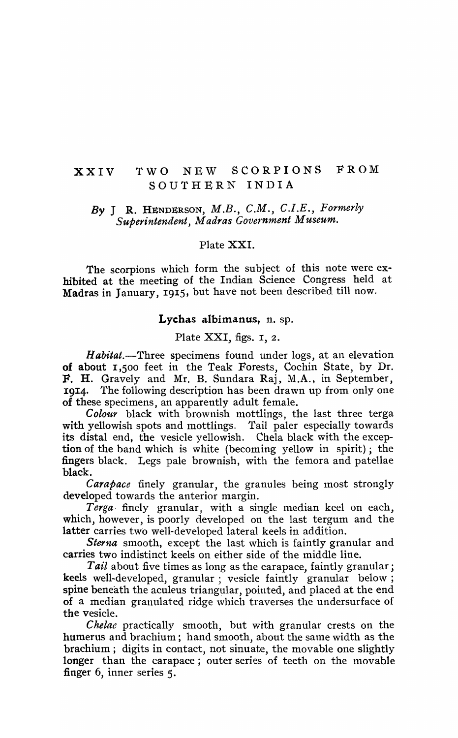# XXIV TWO NEW SCORPIONS FROM SOUTHERN INDIA

# *By* J R. HENDERSON, *M.B., C.M., C.I.E., Formerly*   $S$ uberintendent, Madras Government Museum.

### Plate XXI.

The scorpions which form the subject of this note were ex· hibited at the meeting of the Indian Science Congress held at Madras in January, 1915, but have not been described till now,

#### Lychas albimanus, n. sp.

Plate XXI, figs. I, 2.

*Habitat.*-Three specimens found under logs, at an elevation of about I,500 feet in the Teak Forests, Cochin State, by Dr. F. H. Gravely and Mr. B. Sundara Raj, M.A., in September, 1914. The following description has been drawn up from only one of these specimens, an apparently adult female.

*Colour* black with brownish mottlings, the last three terga with yellowish spots and mottlings. Tail paler especially towards its distal end, the vesicle yellowish. Chela black with the exception of the band which is white (becoming yellow in spirit); the fingers black. Legs pale brownish, with the femora and patellae black.

*Carapace* finely granular, the granules being most strongly developed towards the anterior margin.

Terga finely granular, with a single median keel on each, which, however, is poorly developed on the last tergum and the latter carries two well-developed lateral keels in addition.

*Sterna* smooth, except the last which is faintly granular and carries two indistinct keels on either side of the middle line.

Tail about five times as long as the carapace, faintly granular; keels well-developed, granular ; vesicle faintly granular below; spine beneath the aculeus triangular, pointed, and placed at the end of a median granulated ridge which traverses the undersurface of the vesicle.

*Chelae* practically smooth, but with granular crests on the humerus and brachium; hand smooth, about the same width as the brachium; digits in contact, not sinuate, the movable one slightly longer than the carapace; outer series of teeth on the movable finger 6, inner series 5.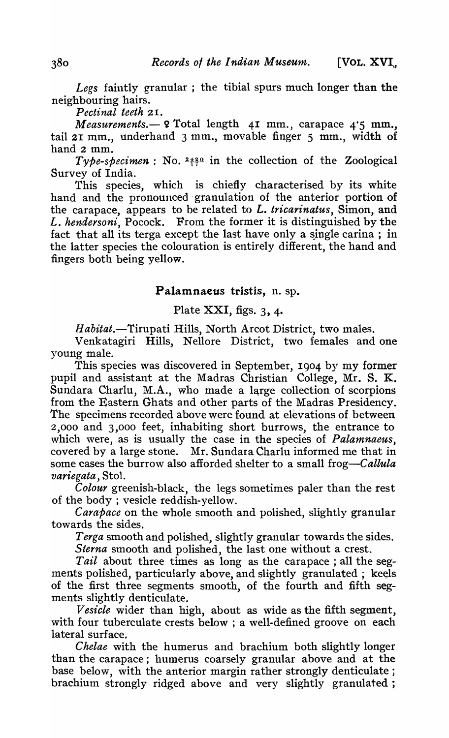*Legs* faintly granular ; the tibial spurs much longer than the neighbouring hairs.

*Pectinal teeth* 2I.

*Measurements.* - 9 Total length 41 mm., carapace 4'5 mm., tail 21 mm., underhand 3 mm., movable finger 5 mm., width of hand 2 mm.

 $\Gamma$ *ype-specimen* : No.  $2+20$  in the collection of the Zoological Survey of India.

This species, which is chiefly characterised by its white hand and the pronounced' granulation of the anterior portion of the carapace, appears to be related to *L. tricarinatus,* Simon, and L. *hendersoni,* Pocock. From the former it is distinguished by the fact that all its terga except the last have only a single carina; in the latter species the colouration is entirely different, the hand and fingers both being yellow.

### Palamnaeus tristis, n. sp.

## Plate XXI, figs. 3, 4.

Habitat.-Tirupati Hills, North Arcot District, two males.

Venkatagiri Hills, Nellore District, two females and one young male.

This species was discovered in September, 1904 by my former pupil and assistant at the Madras Christian College, Mr. S. K. Sundara Charlu, M.A., who made a large collection of scorpions from the Eastern Ghats and other parts of the Madras Presidency. The specimens recorded above were found at elevations of between 2,000 and 3,000 feet, inhabiting short burrows, the entrance to which were, as is usually the case in the species of *Palamnaeus,*  covered by a large stone. Mr. Sundara Charlu informed me that in some cases the burrow also afforded shelter to a small *frog-Callula variegata,* Sto1.

*Colour* greenish-black, the legs sometimes paler than the rest of the body ; vesicle reddish-yellow.

*Carapace* on the whole smooth and polished, slightly granular towards the sides.

*Terga* smooth and polished, slightly granular towards the sides.

*Sterna* smooth and polished, the last one without a crest.

*Tail* about three times as long as the carapace; all the segments polished, particularly above, and slightly granulated; keels of the first three segments smooth, of the fourth and fifth segments slightly denticulate.

*Vesicle* wider than high, about as wide as the fifth segment, with four tuberculate crests below; a well-defined groove on each lateral surface.

*Chelae* with the humerus and brachium both slightly longer than the carapace; humerus coarsely granular above and at the base below, with the anterior margin rather strongly denticulate; brachium strongly ridged above and very slightly granulated;